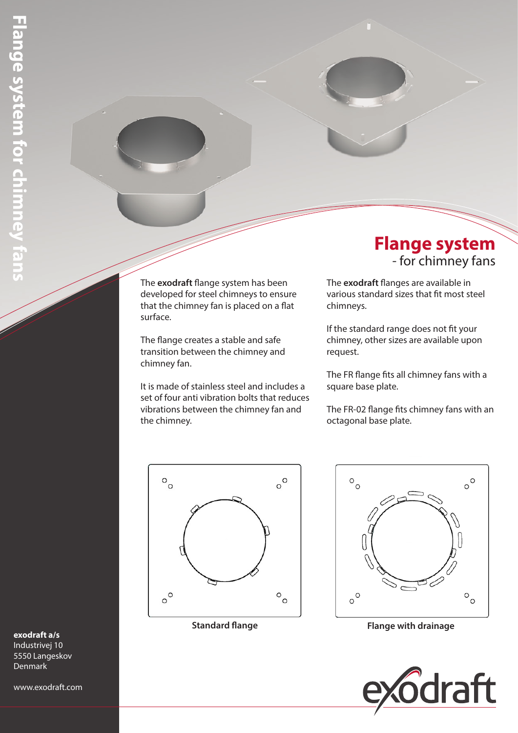The **exodraft** flange system has been developed for steel chimneys to ensure that the chimney fan is placed on a flat surface.

The flange creates a stable and safe transition between the chimney and chimney fan.

It is made of stainless steel and includes a set of four anti vibration bolts that reduces vibrations between the chimney fan and the chimney.



# **Flange system** - for chimney fans

The **exodraft** flanges are available in various standard sizes that fit most steel chimneys.

If the standard range does not fit your chimney, other sizes are available upon request.

The FR flange fits all chimney fans with a square base plate.

The FR-02 flange fits chimney fans with an octagonal base plate.



**Standard flange Flange with drainage**



### **exodraft a/s**

Industrivej 10 5550 Langeskov Denmark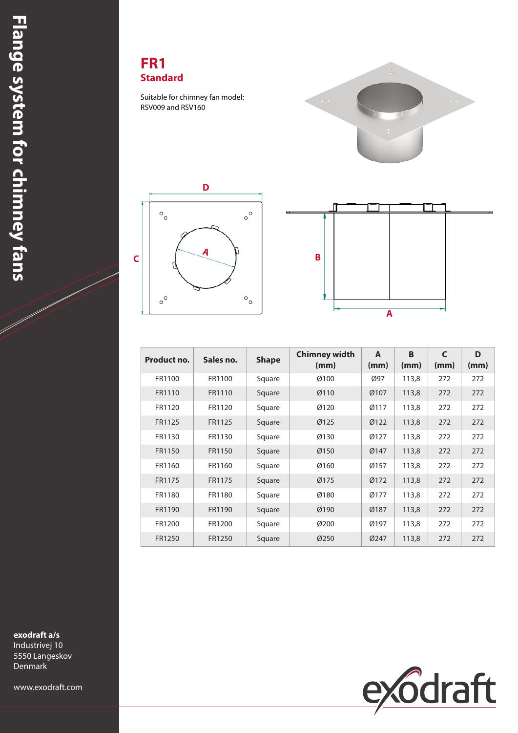#### **FR1 Standard**

Suitable for chimney fan model: RSV009 and RSV160







| Product no. | Sales no. | <b>Shape</b> | <b>Chimney width</b><br>(mm) | A<br>(mm) | B<br>(mm) | $\mathsf{C}$<br>(mm) | D<br>(mm) |
|-------------|-----------|--------------|------------------------------|-----------|-----------|----------------------|-----------|
| FR1100      | FR1100    | Square       | Ø100                         | Ø97       | 113,8     | 272                  | 272       |
| FR1110      | FR1110    | Square       | Ø110                         | Ø107      | 113,8     | 272                  | 272       |
| FR1120      | FR1120    | Square       | Ø120                         | Ø117      | 113,8     | 272                  | 272       |
| FR1125      | FR1125    | Square       | Ø125                         | Ø122      | 113,8     | 272                  | 272       |
| FR1130      | FR1130    | Square       | Ø130                         | Ø127      | 113,8     | 272                  | 272       |
| FR1150      | FR1150    | Square       | Ø150                         | Ø147      | 113,8     | 272                  | 272       |
| FR1160      | FR1160    | Square       | Ø160                         | Ø157      | 113,8     | 272                  | 272       |
| FR1175      | FR1175    | Square       | Ø175                         | Ø172      | 113,8     | 272                  | 272       |
| FR1180      | FR1180    | Square       | Ø180                         | Ø177      | 113,8     | 272                  | 272       |
| FR1190      | FR1190    | Square       | Ø190                         | Ø187      | 113,8     | 272                  | 272       |
| FR1200      | FR1200    | Square       | Ø200                         | Ø197      | 113,8     | 272                  | 272       |
| FR1250      | FR1250    | Square       | Ø250                         | Ø247      | 113,8     | 272                  | 272       |



Industrivej 10 5550 Langeskov Denmark

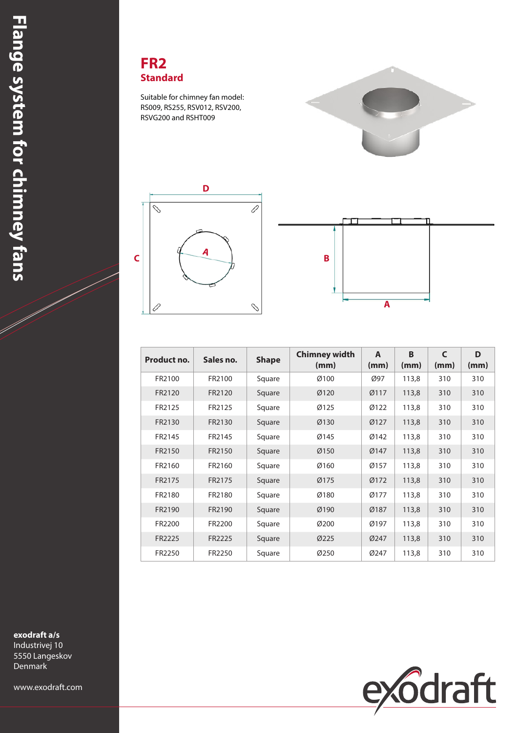

Suitable for chimney fan model: RS009, RS255, RSV012, RSV200, RSVG200 and RSHT009







| Product no. | Sales no. | <b>Shape</b> | <b>Chimney width</b><br>(mm) | A<br>(mm) | B<br>(mm) | $\mathsf{C}$<br>(mm) | D<br>(mm) |
|-------------|-----------|--------------|------------------------------|-----------|-----------|----------------------|-----------|
| FR2100      | FR2100    | Square       | Ø100                         | Ø97       | 113,8     | 310                  | 310       |
| FR2120      | FR2120    | Square       | Ø120                         | Ø117      | 113,8     | 310                  | 310       |
| FR2125      | FR2125    | Square       | Ø125                         | Ø122      | 113,8     | 310                  | 310       |
| FR2130      | FR2130    | Square       | Ø130                         | Ø127      | 113,8     | 310                  | 310       |
| FR2145      | FR2145    | Square       | Ø145                         | Ø142      | 113,8     | 310                  | 310       |
| FR2150      | FR2150    | Square       | Ø150                         | Ø147      | 113,8     | 310                  | 310       |
| FR2160      | FR2160    | Square       | Ø160                         | Ø157      | 113,8     | 310                  | 310       |
| FR2175      | FR2175    | Square       | Ø175                         | Ø172      | 113,8     | 310                  | 310       |
| FR2180      | FR2180    | Square       | Ø180                         | Ø177      | 113,8     | 310                  | 310       |
| FR2190      | FR2190    | Square       | Ø190                         | Ø187      | 113,8     | 310                  | 310       |
| FR2200      | FR2200    | Square       | Ø200                         | Ø197      | 113,8     | 310                  | 310       |
| FR2225      | FR2225    | Square       | Ø225                         | Ø247      | 113,8     | 310                  | 310       |
| FR2250      | FR2250    | Square       | Ø250                         | Ø247      | 113,8     | 310                  | 310       |

**exodraft a/s**

Industrivej 10 5550 Langeskov Denmark

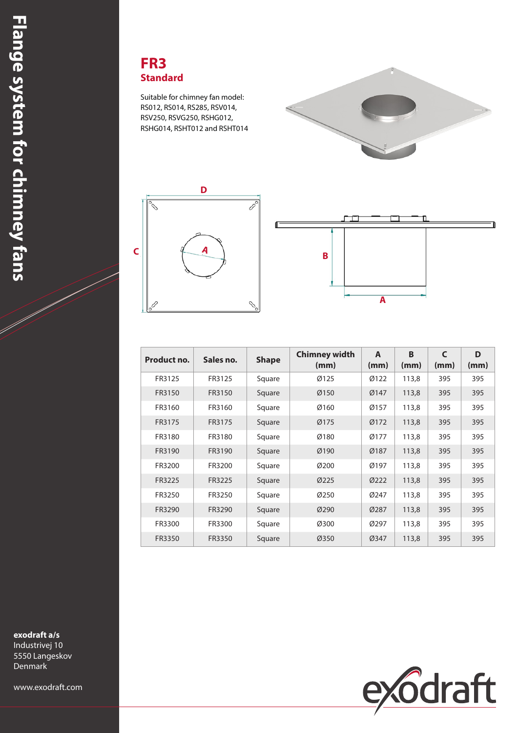#### **FR3 Standard**

Suitable for chimney fan model: RS012, RS014, RS285, RSV014, RSV250, RSVG250, RSHG012, RSHG014, RSHT012 and RSHT014







| Product no. | Sales no. | <b>Shape</b> | Chimney width<br>(mm) | A<br>(mm)   | B<br>(mm) | $\mathsf{C}$<br>(mm) | D<br>(mm) |
|-------------|-----------|--------------|-----------------------|-------------|-----------|----------------------|-----------|
| FR3125      | FR3125    | Square       | Ø125                  | Ø122        | 113,8     | 395                  | 395       |
| FR3150      | FR3150    | Square       | Ø150                  | Ø147        | 113,8     | 395                  | 395       |
| FR3160      | FR3160    | Square       | Ø160                  | Ø157        | 113,8     | 395                  | 395       |
| FR3175      | FR3175    | Square       | Ø175                  | Ø172        | 113,8     | 395                  | 395       |
| FR3180      | FR3180    | Square       | Ø180                  | Ø177        | 113,8     | 395                  | 395       |
| FR3190      | FR3190    | Square       | Ø190                  | Ø187        | 113,8     | 395                  | 395       |
| FR3200      | FR3200    | Square       | Ø200                  | Ø197        | 113,8     | 395                  | 395       |
| FR3225      | FR3225    | Square       | Ø225                  | <b>Ø222</b> | 113,8     | 395                  | 395       |
| FR3250      | FR3250    | Square       | Ø250                  | Ø247        | 113,8     | 395                  | 395       |
| FR3290      | FR3290    | Square       | Ø290                  | Ø287        | 113,8     | 395                  | 395       |
| FR3300      | FR3300    | Square       | Ø300                  | Ø297        | 113,8     | 395                  | 395       |
| FR3350      | FR3350    | Square       | Ø350                  | Ø347        | 113,8     | 395                  | 395       |

**exodraft a/s**

Industrivej 10 5550 Langeskov Denmark

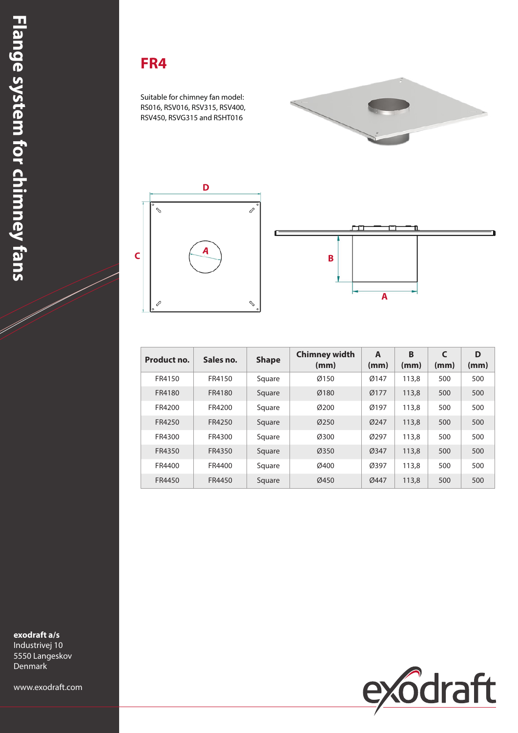# **FR4**

Suitable for chimney fan model: RS016, RSV016, RSV315, RSV400, RSV450, RSVG315 and RSHT016







| Product no. | Sales no. | <b>Shape</b> | <b>Chimney width</b><br>(mm) | A<br>(mm) | B<br>(mm) | $\mathsf{C}$<br>(mm) | D<br>(mm) |
|-------------|-----------|--------------|------------------------------|-----------|-----------|----------------------|-----------|
| FR4150      | FR4150    | Square       | Ø150                         | Ø147      | 113,8     | 500                  | 500       |
| FR4180      | FR4180    | Square       | Ø180                         | Ø177      | 113,8     | 500                  | 500       |
| FR4200      | FR4200    | Square       | Ø200                         | Ø197      | 113,8     | 500                  | 500       |
| FR4250      | FR4250    | Square       | Ø250                         | Ø247      | 113,8     | 500                  | 500       |
| FR4300      | FR4300    | Square       | Ø300                         | Ø297      | 113,8     | 500                  | 500       |
| FR4350      | FR4350    | Square       | Ø350                         | Ø347      | 113,8     | 500                  | 500       |
| FR4400      | FR4400    | Square       | Ø400                         | Ø397      | 113,8     | 500                  | 500       |
| FR4450      | FR4450    | Square       | Ø450                         | Ø447      | 113,8     | 500                  | 500       |

**exodraft a/s**

Industrivej 10 5550 Langeskov Denmark

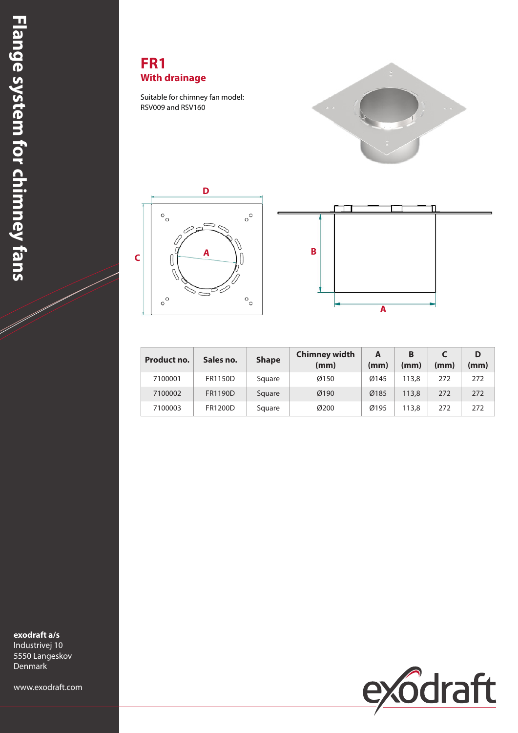## **FR1 With drainage**

Suitable for chimney fan model: RSV009 and RSV160







| Product no. | Sales no.      | <b>Shape</b> | <b>Chimney width</b><br>(mm) | A<br>(mm) | в<br>(mm) | (mm) | (mm) |
|-------------|----------------|--------------|------------------------------|-----------|-----------|------|------|
| 7100001     | <b>FR1150D</b> | Square       | Ø150                         | Ø145      | 113.8     | 272  | 272  |
| 7100002     | FR1190D        | Square       | Ø190                         | Ø185      | 113,8     | 272  | 272  |
| 7100003     | FR1200D        | Square       | Ø200                         | Ø195      | 113,8     | 272  | 272  |

**exodraft a/s**

Industrivej 10 5550 Langeskov Denmark

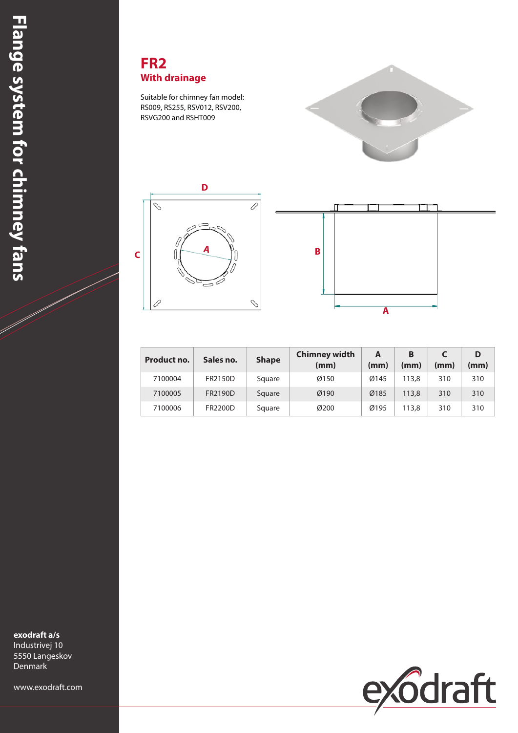### **FR2 With drainage**

Suitable for chimney fan model: RS009, RS255, RSV012, RSV200, RSVG200 and RSHT009







| Product no. | Sales no. | <b>Shape</b> | <b>Chimney width</b><br>(mm) | А<br>(mm) | в<br>(mm) | (mm) | (mm) |
|-------------|-----------|--------------|------------------------------|-----------|-----------|------|------|
| 7100004     | FR2150D   | Square       | Ø150                         | Ø145      | 113.8     | 310  | 310  |
| 7100005     | FR2190D   | Square       | Ø190                         | Ø185      | 113,8     | 310  | 310  |
| 7100006     | FR2200D   | Square       | Ø200                         | Ø195      | 113,8     | 310  | 310  |

**exodraft a/s** Industrivej 10

5550 Langeskov Denmark

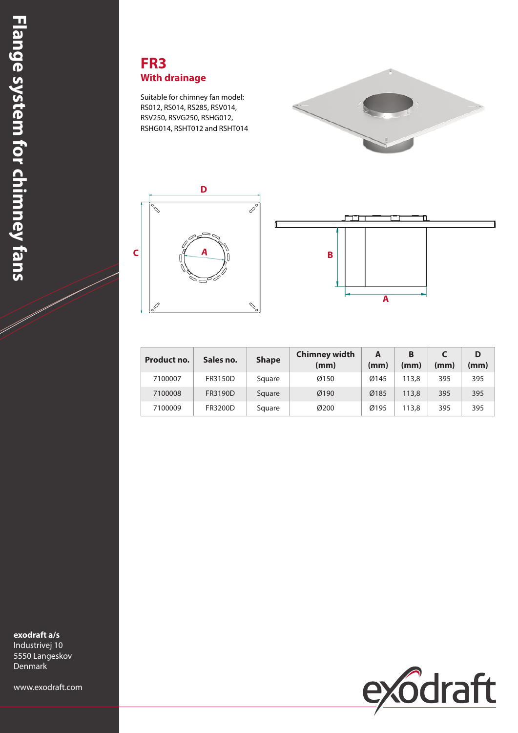### **FR3 With drainage**

Suitable for chimney fan model: RS012, RS014, RS285, RSV014, RSV250, RSVG250, RSHG012, RSHG014, RSHT012 and RSHT014







| Product no. | Sales no. | <b>Shape</b> | <b>Chimney width</b><br>(mm) | A<br>(mm) | В<br>(mm) | (mm) | (mm) |
|-------------|-----------|--------------|------------------------------|-----------|-----------|------|------|
| 7100007     | FR3150D   | Square       | Ø150                         | Ø145      | 113,8     | 395  | 395  |
| 7100008     | FR3190D   | Square       | Ø190                         | Ø185      | 113,8     | 395  | 395  |
| 7100009     | FR3200D   | Square       | Ø200                         | Ø195      | 113.8     | 395  | 395  |

**exodraft a/s** Industrivej 10

5550 Langeskov Denmark

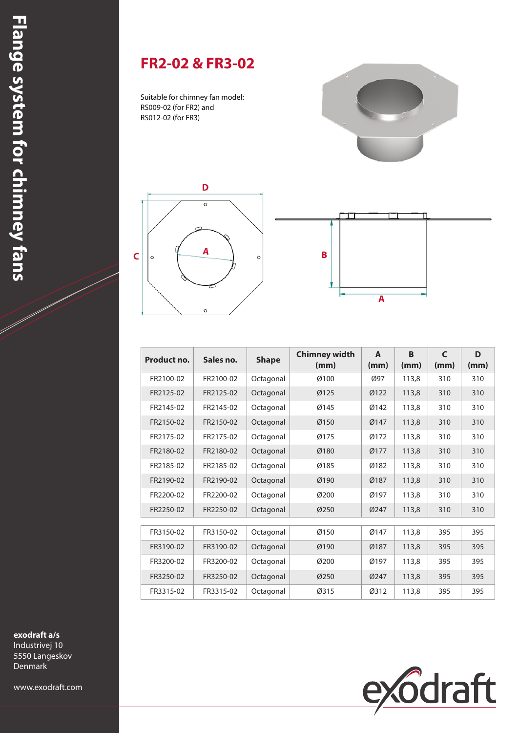# **FR2-02 & FR3-02**

Suitable for chimney fan model: RS009-02 (for FR2) and RS012-02 (for FR3)







| Product no. | Sales no. | <b>Shape</b> | <b>Chimney width</b><br>(mm) | A<br>(mm)   | <b>B</b><br>(mm) | $\mathsf{C}$<br>(mm) | D<br>(mm) |
|-------------|-----------|--------------|------------------------------|-------------|------------------|----------------------|-----------|
| FR2100-02   | FR2100-02 | Octagonal    | Ø100                         | Ø97         | 113,8            | 310                  | 310       |
| FR2125-02   | FR2125-02 | Octagonal    | Ø125                         | Ø122        | 113,8            | 310                  | 310       |
| FR2145-02   | FR2145-02 | Octagonal    | Ø145                         | Ø142        | 113,8            | 310                  | 310       |
| FR2150-02   | FR2150-02 | Octagonal    | Ø150                         | Ø147        | 113,8            | 310                  | 310       |
| FR2175-02   | FR2175-02 | Octagonal    | Ø175                         | Ø172        | 113,8            | 310                  | 310       |
| FR2180-02   | FR2180-02 | Octagonal    | Ø180                         | Ø177        | 113,8            | 310                  | 310       |
| FR2185-02   | FR2185-02 | Octagonal    | Ø185                         | Ø182        | 113,8            | 310                  | 310       |
| FR2190-02   | FR2190-02 | Octagonal    | Ø190                         | Ø187        | 113,8            | 310                  | 310       |
| FR2200-02   | FR2200-02 | Octagonal    | Ø200                         | Ø197        | 113,8            | 310                  | 310       |
| FR2250-02   | FR2250-02 | Octagonal    | Ø250                         | Ø247        | 113,8            | 310                  | 310       |
|             |           |              |                              |             |                  |                      |           |
| FR3150-02   | FR3150-02 | Octagonal    | Ø150                         | Ø147        | 113,8            | 395                  | 395       |
| FR3190-02   | FR3190-02 | Octagonal    | Ø190                         | Ø187        | 113,8            | 395                  | 395       |
| FR3200-02   | FR3200-02 | Octagonal    | Ø200                         | Ø197        | 113,8            | 395                  | 395       |
| FR3250-02   | FR3250-02 | Octagonal    | Ø250                         | <b>Ø247</b> | 113.8            | 395                  | 395       |
| FR3315-02   | FR3315-02 | Octagonal    | Ø315                         | Ø312        | 113,8            | 395                  | 395       |



**exodraft a/s**

Industrivej 10 5550 Langeskov Denmark